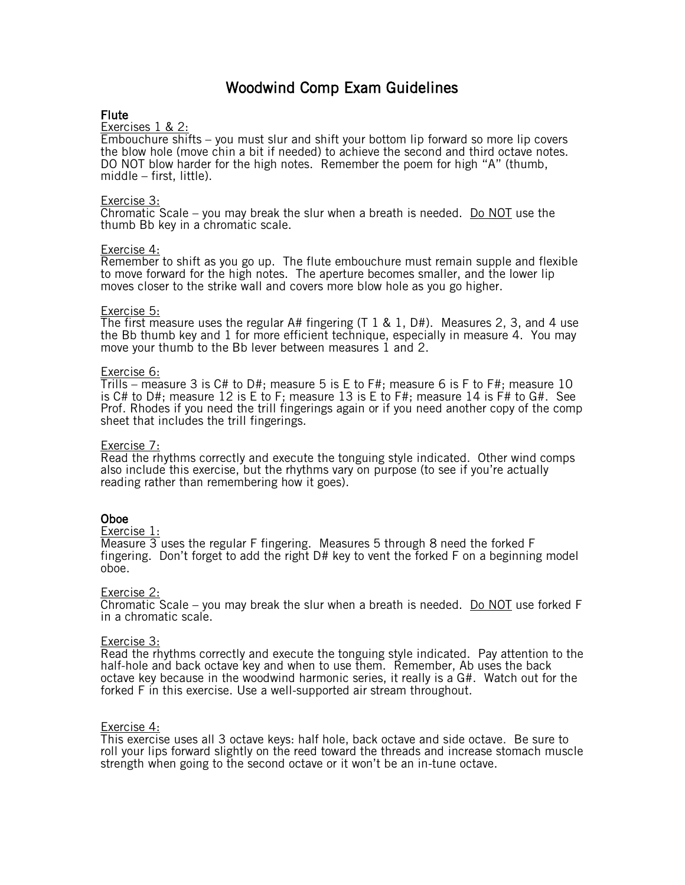# Woodwind Comp Exam Guidelines

# Flute

### Exercises 1 & 2:

Embouchure shifts – you must slur and shift your bottom lip forward so more lip covers the blow hole (move chin a bit if needed) to achieve the second and third octave notes. DO NOT blow harder for the high notes. Remember the poem for high "A" (thumb, middle – first, little).

### Exercise 3:

Chromatic Scale – you may break the slur when a breath is needed. Do NOT use the thumb Bb key in a chromatic scale.

### Exercise 4:

Remember to shift as you go up. The flute embouchure must remain supple and flexible to move forward for the high notes. The aperture becomes smaller, and the lower lip moves closer to the strike wall and covers more blow hole as you go higher.

### Exercise 5:

The first measure uses the regular A# fingering  $(T \ 1 \ & 1, D\#)$ . Measures 2, 3, and 4 use the Bb thumb key and 1 for more efficient technique, especially in measure 4. You may move your thumb to the Bb lever between measures 1 and 2.

### Exercise 6:

Trills – measure 3 is C# to D#; measure 5 is E to F#; measure 6 is F to F#; measure 10 is C# to D#; measure 12 is E to F; measure 13 is E to F#; measure 14 is F# to G#. See Prof. Rhodes if you need the trill fingerings again or if you need another copy of the comp sheet that includes the trill fingerings.

### Exercise 7:

Read the rhythms correctly and execute the tonguing style indicated. Other wind comps also include this exercise, but the rhythms vary on purpose (to see if you're actually reading rather than remembering how it goes).

### Oboe

### Exercise 1:

 $\overline{\text{Measure 3}}$  uses the regular F fingering. Measures 5 through 8 need the forked F fingering. Don't forget to add the right D# key to vent the forked F on a beginning model oboe.

### Exercise 2:

Chromatic Scale – you may break the slur when a breath is needed. Do NOT use forked F in a chromatic scale.

### Exercise 3:

Read the rhythms correctly and execute the tonguing style indicated. Pay attention to the half-hole and back octave key and when to use them. Remember, Ab uses the back octave key because in the woodwind harmonic series, it really is a  $G#$ . Watch out for the forked F in this exercise. Use a well-supported air stream throughout.

### Exercise 4:

This exercise uses all 3 octave keys: half hole, back octave and side octave. Be sure to roll your lips forward slightly on the reed toward the threads and increase stomach muscle strength when going to the second octave or it won't be an in-tune octave.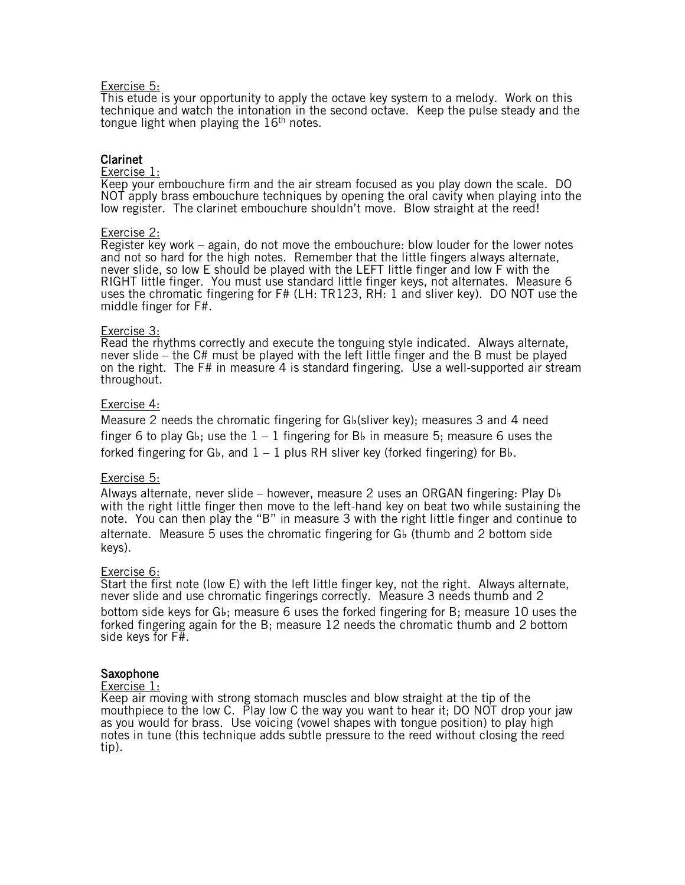### Exercise 5:

This etude is your opportunity to apply the octave key system to a melody. Work on this technique and watch the intonation in the second octave. Keep the pulse steady and the tongue light when playing the  $16<sup>th</sup>$  notes.

# Clarinet

### Exercise 1:

Keep your embouchure firm and the air stream focused as you play down the scale. DO NOT apply brass embouchure techniques by opening the oral cavity when playing into the low register. The clarinet embouchure shouldn't move. Blow straight at the reed!

### Exercise 2:

Register key work – again, do not move the embouchure: blow louder for the lower notes and not so hard for the high notes. Remember that the little fingers always alternate, never slide, so low E should be played with the LEFT little finger and low F with the RIGHT little finger. You must use standard little finger keys, not alternates. Measure 6 uses the chromatic fingering for F# (LH: TR123, RH: 1 and sliver key). DO NOT use the middle finger for F#.

### Exercise 3:

Read the rhythms correctly and execute the tonguing style indicated. Always alternate, never slide – the C# must be played with the left little finger and the B must be played on the right. The F# in measure 4 is standard fingering. Use a well-supported air stream throughout.

### Exercise 4:

Measure 2 needs the chromatic fingering for G♭(sliver key); measures 3 and 4 need finger 6 to play G♭; use the  $1 - 1$  fingering for B♭ in measure 5; measure 6 uses the forked fingering for G♭, and  $1 - 1$  plus RH sliver key (forked fingering) for B♭.

### Exercise 5:

Always alternate, never slide – however, measure 2 uses an ORGAN fingering: Play D♭ with the right little finger then move to the left-hand key on beat two while sustaining the note. You can then play the "B" in measure 3 with the right little finger and continue to alternate. Measure 5 uses the chromatic fingering for G♭ (thumb and 2 bottom side keys).

### Exercise 6:

Start the first note (low E) with the left little finger key, not the right. Always alternate, never slide and use chromatic fingerings correctly. Measure 3 needs thumb and 2 bottom side keys for G♭; measure 6 uses the forked fingering for B; measure 10 uses the forked fingering again for the B; measure 12 needs the chromatic thumb and 2 bottom side keys for F#.

### Saxophone

### Exercise 1:

Keep air moving with strong stomach muscles and blow straight at the tip of the mouthpiece to the low C. Play low C the way you want to hear it; DO NOT drop your jaw as you would for brass. Use voicing (vowel shapes with tongue position) to play high notes in tune (this technique adds subtle pressure to the reed without closing the reed tip).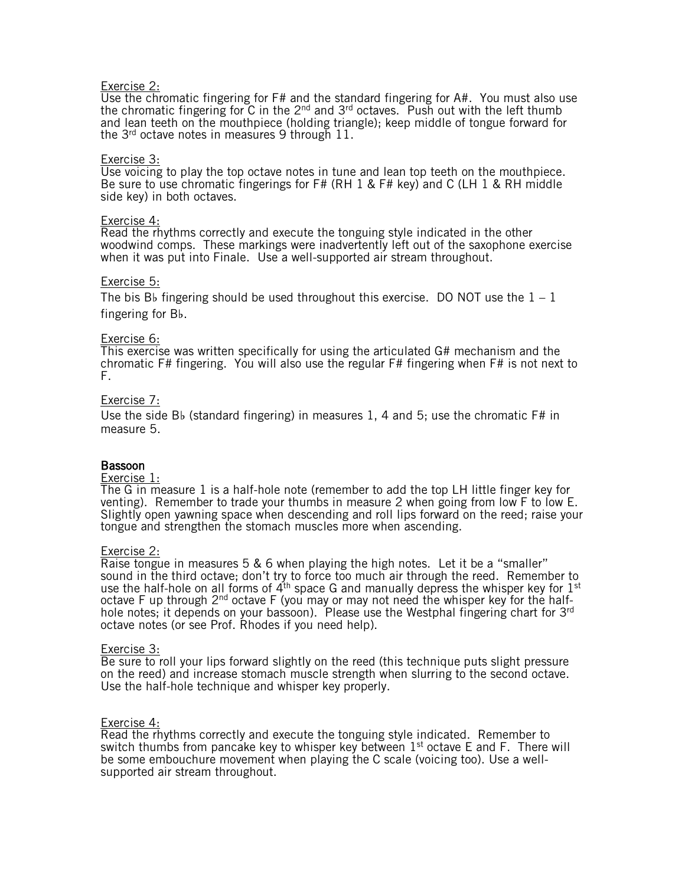### Exercise 2:

Use the chromatic fingering for F# and the standard fingering for A#. You must also use the chromatic fingering for  $\tilde{C}$  in the  $2^{nd}$  and  $3^{rd}$  octaves. Push out with the left thumb and lean teeth on the mouthpiece (holding triangle); keep middle of tongue forward for the 3<sup>rd</sup> octave notes in measures 9 through 11.

### Exercise 3:

Use voicing to play the top octave notes in tune and lean top teeth on the mouthpiece. Be sure to use chromatic fingerings for F# (RH 1 & F# key) and C (LH 1 & RH middle side key) in both octaves.

### Exercise 4:

Read the rhythms correctly and execute the tonguing style indicated in the other woodwind comps. These markings were inadvertently left out of the saxophone exercise when it was put into Finale. Use a well-supported air stream throughout.

### Exercise 5:

The bis B♭ fingering should be used throughout this exercise. DO NOT use the  $1 - 1$ fingering for B♭.

### Exercise 6:

This exercise was written specifically for using the articulated G# mechanism and the chromatic F# fingering. You will also use the regular F# fingering when F# is not next to F.

### Exercise 7:

Use the side B♭ (standard fingering) in measures 1, 4 and 5; use the chromatic F# in measure 5.

### Bassoon

### Exercise 1:

**The G** in measure 1 is a half-hole note (remember to add the top LH little finger key for venting). Remember to trade your thumbs in measure 2 when going from low F to low E. Slightly open yawning space when descending and roll lips forward on the reed; raise your tongue and strengthen the stomach muscles more when ascending.

### Exercise 2:

Raise tongue in measures 5 & 6 when playing the high notes. Let it be a "smaller" sound in the third octave; don't try to force too much air through the reed. Remember to use the half-hole on all forms of  $4<sup>th</sup>$  space G and manually depress the whisper key for  $1<sup>st</sup>$ octave F up through  $2^{nd}$  octave F (you may or may not need the whisper key for the halfhole notes; it depends on your bassoon). Please use the Westphal fingering chart for 3<sup>rd</sup> octave notes (or see Prof. Rhodes if you need help).

### Exercise 3:

Be sure to roll your lips forward slightly on the reed (this technique puts slight pressure on the reed) and increase stomach muscle strength when slurring to the second octave. Use the half-hole technique and whisper key properly.

### Exercise 4:

Read the rhythms correctly and execute the tonguing style indicated. Remember to switch thumbs from pancake key to whisper key between  $1<sup>st</sup>$  octave E and F. There will be some embouchure movement when playing the C scale (voicing too). Use a wellsupported air stream throughout.